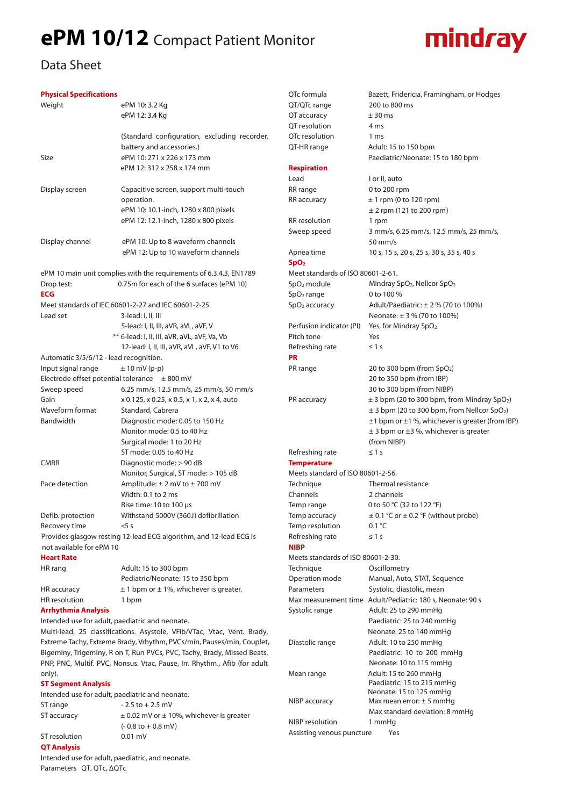## **ePM 10/12** Compact Patient Monitor



## Data Sheet

## **Physical Specifications**

| <b>Physical Specifications</b>                                            |                                                                    | QTc formula                                           | Bazett, Fridericia, Framingham, or Hodges                                                                   |  |
|---------------------------------------------------------------------------|--------------------------------------------------------------------|-------------------------------------------------------|-------------------------------------------------------------------------------------------------------------|--|
| Weight                                                                    | ePM 10: 3.2 Kg                                                     | QT/QTc range                                          | 200 to 800 ms                                                                                               |  |
|                                                                           | ePM 12: 3.4 Kg                                                     | QT accuracy                                           | ± 30 ms                                                                                                     |  |
|                                                                           |                                                                    | QT resolution                                         | 4 ms                                                                                                        |  |
|                                                                           | (Standard configuration, excluding recorder,                       | QTc resolution                                        | 1 ms                                                                                                        |  |
|                                                                           | battery and accessories.)                                          | QT-HR range                                           | Adult: 15 to 150 bpm                                                                                        |  |
| Size                                                                      | ePM 10: 271 x 226 x 173 mm                                         |                                                       | Paediatric/Neonate: 15 to 180 bpm                                                                           |  |
|                                                                           | ePM 12: 312 x 258 x 174 mm                                         | <b>Respiration</b><br>Lead                            | I or II, auto                                                                                               |  |
| Display screen                                                            | Capacitive screen, support multi-touch                             | RR range                                              | 0 to 200 rpm                                                                                                |  |
|                                                                           | operation.                                                         | RR accuracy                                           | $± 1$ rpm (0 to 120 rpm)                                                                                    |  |
|                                                                           | ePM 10: 10.1-inch, 1280 x 800 pixels                               |                                                       | $± 2$ rpm (121 to 200 rpm)                                                                                  |  |
|                                                                           | ePM 12: 12.1-inch, 1280 x 800 pixels                               | RR resolution                                         | 1 rpm                                                                                                       |  |
|                                                                           |                                                                    | Sweep speed                                           | 3 mm/s, 6.25 mm/s, 12.5 mm/s, 25 mm/s,                                                                      |  |
| Display channel                                                           | ePM 10: Up to 8 waveform channels                                  |                                                       | 50 mm/s                                                                                                     |  |
|                                                                           | ePM 12: Up to 10 waveform channels                                 | Apnea time                                            | 10 s, 15 s, 20 s, 25 s, 30 s, 35 s, 40 s                                                                    |  |
|                                                                           |                                                                    |                                                       |                                                                                                             |  |
| ePM 10 main unit complies with the requirements of 6.3.4.3, EN1789        |                                                                    | SpO <sub>2</sub><br>Meet standards of ISO 80601-2-61. |                                                                                                             |  |
| Drop test:                                                                | 0.75m for each of the 6 surfaces (ePM 10)                          | $SpO2$ module                                         | Mindray SpO <sub>2</sub> , Nellcor SpO <sub>2</sub>                                                         |  |
| <b>ECG</b>                                                                |                                                                    |                                                       |                                                                                                             |  |
|                                                                           |                                                                    | SpO <sub>2</sub> range                                | 0 to 100 %                                                                                                  |  |
|                                                                           | Meet standards of IEC 60601-2-27 and IEC 60601-2-25.               | $SpO2$ accuracy                                       | Adult/Paediatric: $\pm$ 2 % (70 to 100%)                                                                    |  |
| Lead set                                                                  | 3-lead: I, II, III                                                 |                                                       | Neonate: $\pm$ 3 % (70 to 100%)                                                                             |  |
|                                                                           | 5-lead: I, II, III, aVR, aVL, aVF, V                               | Perfusion indicator (PI)                              | Yes, for Mindray SpO <sub>2</sub>                                                                           |  |
|                                                                           | ** 6-lead: I, II, III, aVR, aVL, aVF, Va, Vb                       | Pitch tone                                            | Yes                                                                                                         |  |
|                                                                           | 12-lead: I, II, III, aVR, aVL, aVF, V1 to V6                       | Refreshing rate                                       | $\leq 1$ s                                                                                                  |  |
| Automatic 3/5/6/12 - lead recognition.                                    |                                                                    | <b>PR</b>                                             |                                                                                                             |  |
| Input signal range                                                        | $\pm$ 10 mV (p-p)                                                  | PR range                                              | 20 to 300 bpm (from $SpO2$ )                                                                                |  |
| Electrode offset potential tolerance $\pm 800$ mV                         |                                                                    |                                                       | 20 to 350 bpm (from IBP)                                                                                    |  |
| Sweep speed                                                               | 6.25 mm/s, 12.5 mm/s, 25 mm/s, 50 mm/s                             |                                                       | 30 to 300 bpm (from NIBP)                                                                                   |  |
| Gain                                                                      | x 0.125, x 0.25, x 0.5, x 1, x 2, x 4, auto                        | PR accuracy                                           | $\pm$ 3 bpm (20 to 300 bpm, from Mindray SpO <sub>2</sub> )                                                 |  |
| Waveform format                                                           | Standard, Cabrera                                                  |                                                       | $\pm$ 3 bpm (20 to 300 bpm, from Nellcor SpO <sub>2</sub> )                                                 |  |
| Bandwidth                                                                 | Diagnostic mode: 0.05 to 150 Hz<br>Monitor mode: 0.5 to 40 Hz      |                                                       | $\pm$ 1 bpm or $\pm$ 1 %, whichever is greater (from IBP)<br>$\pm$ 3 bpm or $\pm$ 3 %, whichever is greater |  |
|                                                                           | Surgical mode: 1 to 20 Hz                                          |                                                       | (from NIBP)                                                                                                 |  |
|                                                                           | ST mode: 0.05 to 40 Hz                                             | Refreshing rate                                       | $\leq 1$ s                                                                                                  |  |
| <b>CMRR</b>                                                               | Diagnostic mode: > 90 dB                                           | <b>Temperature</b>                                    |                                                                                                             |  |
|                                                                           | Monitor, Surgical, ST mode: > 105 dB                               | Meets standard of ISO 80601-2-56.                     |                                                                                                             |  |
| Pace detection                                                            | Amplitude: $\pm 2$ mV to $\pm 700$ mV                              | Technique                                             | Thermal resistance                                                                                          |  |
|                                                                           | Width: 0.1 to 2 ms                                                 | Channels                                              | 2 channels                                                                                                  |  |
|                                                                           | Rise time: 10 to 100 µs                                            | Temp range                                            | 0 to 50 °C (32 to 122 °F)                                                                                   |  |
| Defib. protection                                                         | Withstand 5000V (360J) defibrillation                              | Temp accuracy                                         | $\pm$ 0.1 °C or $\pm$ 0.2 °F (without probe)                                                                |  |
| Recovery time                                                             | 5s                                                                 | Temp resolution                                       | 0.1 °C                                                                                                      |  |
|                                                                           | Provides glasgow resting 12-lead ECG algorithm, and 12-lead ECG is | Refreshing rate                                       | $\leq 1$ s                                                                                                  |  |
| not available for ePM 10                                                  |                                                                    | <b>NIBP</b>                                           |                                                                                                             |  |
| <b>Heart Rate</b>                                                         |                                                                    | Meets standards of ISO 80601-2-30.                    |                                                                                                             |  |
| HR rang                                                                   | Adult: 15 to 300 bpm                                               | Technique                                             | Oscillometry                                                                                                |  |
|                                                                           | Pediatric/Neonate: 15 to 350 bpm                                   | Operation mode                                        | Manual, Auto, STAT, Sequence                                                                                |  |
| HR accuracy                                                               | $\pm$ 1 bpm or $\pm$ 1%, whichever is greater.                     | Parameters                                            | Systolic, diastolic, mean                                                                                   |  |
| HR resolution                                                             | 1 bpm                                                              |                                                       | Max measurement time Adult/Pediatric: 180 s, Neonate: 90 s                                                  |  |
| <b>Arrhythmia Analysis</b>                                                |                                                                    | Systolic range                                        | Adult: 25 to 290 mmHg                                                                                       |  |
| Intended use for adult, paediatric and neonate.                           |                                                                    |                                                       | Paediatric: 25 to 240 mmHg                                                                                  |  |
| Multi-lead, 25 classifications. Asystole, VFib/VTac, Vtac, Vent. Brady,   |                                                                    |                                                       | Neonate: 25 to 140 mmHg                                                                                     |  |
| Extreme Tachy, Extreme Brady, Vrhythm, PVCs/min, Pauses/min, Couplet,     |                                                                    | Diastolic range                                       | Adult: 10 to 250 mmHq                                                                                       |  |
| Bigeminy, Trigeminy, R on T, Run PVCs, PVC, Tachy, Brady, Missed Beats,   |                                                                    |                                                       | Paediatric: 10 to 200 mmHg                                                                                  |  |
| PNP, PNC, Multif. PVC, Nonsus. Vtac, Pause, Irr. Rhythm., Afib (for adult |                                                                    |                                                       | Neonate: 10 to 115 mmHg                                                                                     |  |
| only).                                                                    |                                                                    | Mean range                                            | Adult: 15 to 260 mmHg                                                                                       |  |
| <b>ST Segment Analysis</b>                                                |                                                                    |                                                       | Paediatric: 15 to 215 mmHg                                                                                  |  |
| Intended use for adult, paediatric and neonate.                           |                                                                    |                                                       | Neonate: 15 to 125 mmHg                                                                                     |  |
| ST range                                                                  | $-2.5$ to $+2.5$ mV                                                | NIBP accuracy                                         | Max mean error: $\pm$ 5 mmHg                                                                                |  |
| ST accuracy                                                               | $\pm$ 0.02 mV or $\pm$ 10%, whichever is greater                   |                                                       | Max standard deviation: 8 mmHg                                                                              |  |
|                                                                           | $(-0.8 \text{ to } +0.8 \text{ mV})$                               | NIBP resolution                                       | 1 mmHg                                                                                                      |  |
| $CT$ rocalution                                                           | $0.01 \text{ mV}$                                                  | Assisting venous puncture                             | Yes                                                                                                         |  |

**QT Analysis**  Intended use for adult, paediatric, and neonate. Parameters QT, QTc, ∆QTc

ST resolution 0.01 mV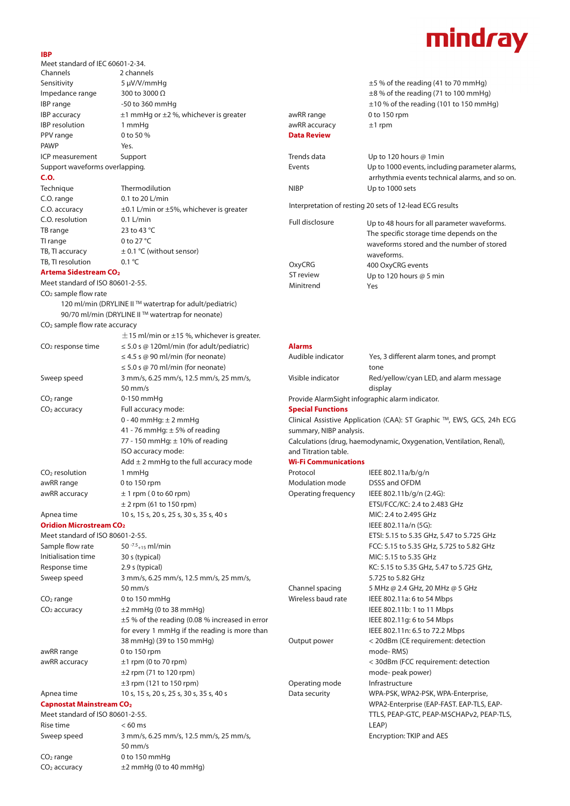## mindray

| <b>IBP</b>                                                                     |                                                        |                                                                             |                                                          |  |  |
|--------------------------------------------------------------------------------|--------------------------------------------------------|-----------------------------------------------------------------------------|----------------------------------------------------------|--|--|
| Meet standard of IEC 60601-2-34.                                               |                                                        |                                                                             |                                                          |  |  |
| Channels                                                                       | 2 channels                                             |                                                                             |                                                          |  |  |
| Sensitivity                                                                    | 5 µV/V/mmHq                                            |                                                                             | $\pm$ 5 % of the reading (41 to 70 mmHg)                 |  |  |
| Impedance range                                                                | 300 to 3000 $\Omega$                                   |                                                                             | $\pm$ 8 % of the reading (71 to 100 mmHg)                |  |  |
| IBP range                                                                      | -50 to 360 mmHg                                        |                                                                             | $\pm$ 10 % of the reading (101 to 150 mmHg)              |  |  |
| <b>IBP</b> accuracy                                                            | $\pm$ 1 mmHg or $\pm$ 2 %, whichever is greater        | awRR range                                                                  | 0 to 150 rpm                                             |  |  |
| IBP resolution                                                                 | 1 mmHg                                                 | awRR accuracy                                                               | $±1$ rpm                                                 |  |  |
| PPV range                                                                      | 0 to 50 %                                              | <b>Data Review</b>                                                          |                                                          |  |  |
| <b>PAWP</b>                                                                    | Yes.                                                   |                                                                             |                                                          |  |  |
| ICP measurement                                                                | Support                                                | Trends data                                                                 | Up to 120 hours @ 1min                                   |  |  |
| Support waveforms overlapping.                                                 |                                                        | Events                                                                      | Up to 1000 events, including parameter alarms,           |  |  |
| C.O.                                                                           |                                                        |                                                                             | arrhythmia events technical alarms, and so on.           |  |  |
| Technique                                                                      | Thermodilution                                         | <b>NIBP</b>                                                                 | Up to 1000 sets                                          |  |  |
| C.O. range                                                                     | 0.1 to 20 L/min                                        |                                                                             | Interpretation of resting 20 sets of 12-lead ECG results |  |  |
| C.O. accuracy                                                                  | $\pm$ 0.1 L/min or $\pm$ 5%, whichever is greater      |                                                                             |                                                          |  |  |
| C.O. resolution                                                                | $0.1$ L/min                                            | Full disclosure                                                             | Up to 48 hours for all parameter waveforms.              |  |  |
| TB range                                                                       | 23 to 43 °C                                            |                                                                             | The specific storage time depends on the                 |  |  |
| TI range                                                                       | 0 to 27 °C                                             |                                                                             | waveforms stored and the number of stored                |  |  |
| TB, TI accuracy                                                                | $\pm$ 0.1 °C (without sensor)                          |                                                                             | waveforms.                                               |  |  |
| TB, TI resolution                                                              | $0.1 \text{ }^{\circ}$ C                               | OxyCRG                                                                      | 400 OxyCRG events                                        |  |  |
| <b>Artema Sidestream CO<sub>2</sub></b>                                        |                                                        | ST review                                                                   | Up to 120 hours $@$ 5 min                                |  |  |
| Meet standard of ISO 80601-2-55.                                               |                                                        | Minitrend                                                                   | Yes                                                      |  |  |
| $CO2$ sample flow rate                                                         |                                                        |                                                                             |                                                          |  |  |
|                                                                                | 120 ml/min (DRYLINE II™ watertrap for adult/pediatric) |                                                                             |                                                          |  |  |
| CO <sub>2</sub> sample flow rate accuracy                                      | 90/70 ml/min (DRYLINE II™ watertrap for neonate)       |                                                                             |                                                          |  |  |
|                                                                                | $\pm$ 15 ml/min or $\pm$ 15 %, whichever is greater.   |                                                                             |                                                          |  |  |
| CO <sub>2</sub> response time                                                  | $\leq$ 5.0 s @ 120ml/min (for adult/pediatric)         | <b>Alarms</b>                                                               |                                                          |  |  |
|                                                                                | $\leq$ 4.5 s @ 90 ml/min (for neonate)                 | Audible indicator                                                           | Yes, 3 different alarm tones, and prompt                 |  |  |
|                                                                                | $\leq$ 5.0 s @ 70 ml/min (for neonate)                 |                                                                             | tone                                                     |  |  |
| Sweep speed                                                                    | 3 mm/s, 6.25 mm/s, 12.5 mm/s, 25 mm/s,                 | Visible indicator                                                           | Red/yellow/cyan LED, and alarm message                   |  |  |
|                                                                                | $50$ mm/s                                              |                                                                             |                                                          |  |  |
| $CO2$ range                                                                    | $0-150$ mmHq                                           |                                                                             | display                                                  |  |  |
| CO <sub>2</sub> accuracy                                                       | Full accuracy mode:                                    | Provide AlarmSight infographic alarm indicator.<br><b>Special Functions</b> |                                                          |  |  |
|                                                                                | $0 - 40$ mmHg: $\pm 2$ mmHg                            | Clinical Assistive Application (CAA): ST Graphic ™, EWS, GCS, 24h ECG       |                                                          |  |  |
|                                                                                |                                                        |                                                                             |                                                          |  |  |
|                                                                                | 41 - 76 mmHg: $\pm$ 5% of reading                      |                                                                             | summary, NIBP analysis.                                  |  |  |
|                                                                                | 77 - 150 mmHg: ± 10% of reading<br>ISO accuracy mode:  | Calculations (drug, haemodynamic, Oxygenation, Ventilation, Renal),         |                                                          |  |  |
|                                                                                |                                                        | and Titration table.                                                        | <b>Wi-Fi Communications</b>                              |  |  |
|                                                                                | Add $\pm$ 2 mmHg to the full accuracy mode             |                                                                             |                                                          |  |  |
| $CO2$ resolution                                                               | 1 mmHg                                                 | Protocol                                                                    | IEEE 802.11a/b/g/n                                       |  |  |
| awRR range                                                                     | 0 to 150 rpm                                           | Modulation mode                                                             | DSSS and OFDM                                            |  |  |
| awRR accuracy                                                                  | $\pm$ 1 rpm (0 to 60 rpm)                              | Operating frequency                                                         | IEEE 802.11b/g/n (2.4G):                                 |  |  |
|                                                                                | $\pm$ 2 rpm (61 to 150 rpm)                            |                                                                             | ETSI/FCC/KC: 2.4 to 2.483 GHz                            |  |  |
| Apnea time                                                                     | 10 s, 15 s, 20 s, 25 s, 30 s, 35 s, 40 s               |                                                                             | MIC: 2.4 to 2.495 GHz                                    |  |  |
| <b>Oridion Microstream CO<sub>2</sub></b>                                      |                                                        |                                                                             | IEEE 802.11a/n (5G):                                     |  |  |
| Meet standard of ISO 80601-2-55.                                               |                                                        |                                                                             | ETSI: 5.15 to 5.35 GHz, 5.47 to 5.725 GHz                |  |  |
| Sample flow rate                                                               | 50 $-7.5$ <sub>+15</sub> ml/min                        |                                                                             | FCC: 5.15 to 5.35 GHz, 5.725 to 5.82 GHz                 |  |  |
| Initialisation time                                                            | 30 s (typical)                                         |                                                                             | MIC: 5.15 to 5.35 GHz                                    |  |  |
| Response time                                                                  | 2.9 s (typical)                                        |                                                                             | KC: 5.15 to 5.35 GHz, 5.47 to 5.725 GHz,                 |  |  |
| Sweep speed                                                                    | 3 mm/s, 6.25 mm/s, 12.5 mm/s, 25 mm/s,                 |                                                                             | 5.725 to 5.82 GHz                                        |  |  |
|                                                                                | $50$ mm/s                                              | Channel spacing<br>Wireless baud rate                                       | 5 MHz @ 2.4 GHz, 20 MHz @ 5 GHz                          |  |  |
| $CO2$ range                                                                    | 0 to 150 mmHq                                          |                                                                             | IEEE 802.11a: 6 to 54 Mbps                               |  |  |
| $CO2$ accuracy                                                                 | $\pm 2$ mmHg (0 to 38 mmHg)                            |                                                                             | IEEE 802.11b: 1 to 11 Mbps                               |  |  |
|                                                                                | $\pm$ 5 % of the reading (0.08 % increased in error    |                                                                             | IEEE 802.11g: 6 to 54 Mbps                               |  |  |
|                                                                                | for every 1 mmHg if the reading is more than           |                                                                             | IEEE 802.11n: 6.5 to 72.2 Mbps                           |  |  |
|                                                                                | 38 mmHg) (39 to 150 mmHg)                              | Output power                                                                | < 20dBm (CE requirement: detection                       |  |  |
| awRR range                                                                     | 0 to 150 rpm                                           |                                                                             | mode-RMS)                                                |  |  |
| awRR accuracy                                                                  | $±1$ rpm (0 to 70 rpm)                                 |                                                                             | < 30dBm (FCC requirement: detection                      |  |  |
|                                                                                | $\pm 2$ rpm (71 to 120 rpm)                            |                                                                             | mode- peak power)                                        |  |  |
|                                                                                | $\pm 3$ rpm (121 to 150 rpm)                           | Operating mode                                                              | Infrastructure                                           |  |  |
| Apnea time                                                                     | 10 s, 15 s, 20 s, 25 s, 30 s, 35 s, 40 s               | Data security                                                               | WPA-PSK, WPA2-PSK, WPA-Enterprise,                       |  |  |
| <b>Capnostat Mainstream CO<sub>2</sub></b><br>Meet standard of ISO 80601-2-55. |                                                        |                                                                             | WPA2-Enterprise (EAP-FAST. EAP-TLS, EAP-                 |  |  |
|                                                                                | $< 60$ ms                                              |                                                                             | TTLS, PEAP-GTC, PEAP-MSCHAPv2, PEAP-TLS,<br>LEAP)        |  |  |
| Rise time                                                                      |                                                        |                                                                             | Encryption: TKIP and AES                                 |  |  |
| Sweep speed                                                                    | 3 mm/s, 6.25 mm/s, 12.5 mm/s, 25 mm/s,<br>$50$ mm/s    |                                                                             |                                                          |  |  |
| $CO2$ range                                                                    | 0 to 150 mmHg                                          |                                                                             |                                                          |  |  |
| $CO2$ accuracy                                                                 | $±2$ mmHg (0 to 40 mmHg)                               |                                                                             |                                                          |  |  |
|                                                                                |                                                        |                                                                             |                                                          |  |  |